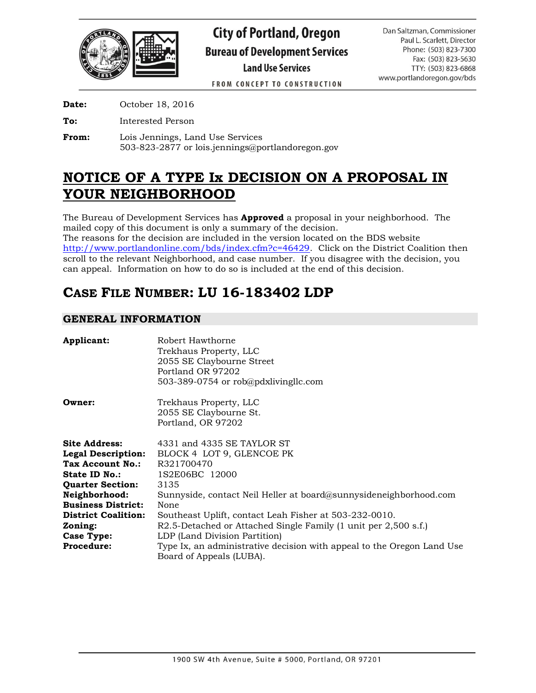

FROM CONCEPT TO CONSTRUCTION

**Date:** October 18, 2016

**To:** Interested Person

**From:** Lois Jennings, Land Use Services 503-823-2877 or lois.jennings@portlandoregon.gov

# **NOTICE OF A TYPE Ix DECISION ON A PROPOSAL IN YOUR NEIGHBORHOOD**

The Bureau of Development Services has **Approved** a proposal in your neighborhood. The mailed copy of this document is only a summary of the decision.

The reasons for the decision are included in the version located on the BDS website [http://www.portlandonline.com/bds/index.cfm?c=46429.](http://www.portlandonline.com/bds/index.cfm?c=46429) Click on the District Coalition then scroll to the relevant Neighborhood, and case number. If you disagree with the decision, you can appeal. Information on how to do so is included at the end of this decision.

# **CASE FILE NUMBER: LU 16-183402 LDP**

# **GENERAL INFORMATION**

| <b>Applicant:</b>          | Robert Hawthorne<br>Trekhaus Property, LLC                                                         |  |  |  |
|----------------------------|----------------------------------------------------------------------------------------------------|--|--|--|
|                            | 2055 SE Claybourne Street                                                                          |  |  |  |
|                            | Portland OR 97202                                                                                  |  |  |  |
|                            | 503-389-0754 or rob@pdxlivingllc.com                                                               |  |  |  |
| Owner:                     | Trekhaus Property, LLC                                                                             |  |  |  |
|                            | 2055 SE Claybourne St.                                                                             |  |  |  |
|                            | Portland, OR 97202                                                                                 |  |  |  |
| Site Address:              | 4331 and 4335 SE TAYLOR ST                                                                         |  |  |  |
| <b>Legal Description:</b>  | BLOCK 4 LOT 9, GLENCOE PK                                                                          |  |  |  |
| Tax Account No.:           | R321700470                                                                                         |  |  |  |
| <b>State ID No.:</b>       | 1S2E06BC 12000                                                                                     |  |  |  |
| <b>Quarter Section:</b>    | 3135                                                                                               |  |  |  |
| Neighborhood:              | Sunnyside, contact Neil Heller at board@sunnysideneighborhood.com                                  |  |  |  |
| <b>Business District:</b>  | None                                                                                               |  |  |  |
| <b>District Coalition:</b> | Southeast Uplift, contact Leah Fisher at 503-232-0010.                                             |  |  |  |
| Zoning:                    | R2.5-Detached or Attached Single Family (1 unit per 2,500 s.f.)                                    |  |  |  |
| Case Type:                 | LDP (Land Division Partition)                                                                      |  |  |  |
| <b>Procedure:</b>          | Type Ix, an administrative decision with appeal to the Oregon Land Use<br>Board of Appeals (LUBA). |  |  |  |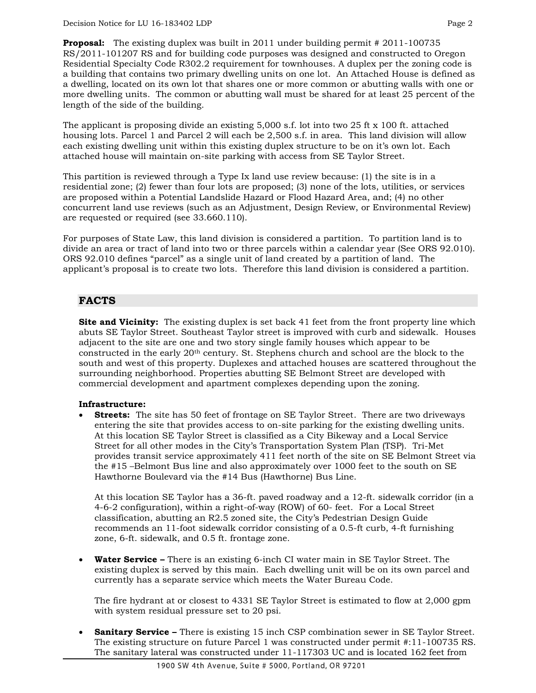**Proposal:** The existing duplex was built in 2011 under building permit # 2011-100735 RS/2011-101207 RS and for building code purposes was designed and constructed to Oregon Residential Specialty Code R302.2 requirement for townhouses. A duplex per the zoning code is a building that contains two primary dwelling units on one lot. An Attached House is defined as a dwelling, located on its own lot that shares one or more common or abutting walls with one or more dwelling units. The common or abutting wall must be shared for at least 25 percent of the length of the side of the building.

The applicant is proposing divide an existing 5,000 s.f. lot into two 25 ft x 100 ft. attached housing lots. Parcel 1 and Parcel 2 will each be 2,500 s.f. in area. This land division will allow each existing dwelling unit within this existing duplex structure to be on it's own lot. Each attached house will maintain on-site parking with access from SE Taylor Street.

This partition is reviewed through a Type Ix land use review because: (1) the site is in a residential zone; (2) fewer than four lots are proposed; (3) none of the lots, utilities, or services are proposed within a Potential Landslide Hazard or Flood Hazard Area, and; (4) no other concurrent land use reviews (such as an Adjustment, Design Review, or Environmental Review) are requested or required (see 33.660.110).

For purposes of State Law, this land division is considered a partition. To partition land is to divide an area or tract of land into two or three parcels within a calendar year (See ORS 92.010). ORS 92.010 defines "parcel" as a single unit of land created by a partition of land. The applicant's proposal is to create two lots. Therefore this land division is considered a partition.

# **FACTS**

**Site and Vicinity:** The existing duplex is set back 41 feet from the front property line which abuts SE Taylor Street. Southeast Taylor street is improved with curb and sidewalk. Houses adjacent to the site are one and two story single family houses which appear to be constructed in the early  $20<sup>th</sup>$  century. St. Stephens church and school are the block to the south and west of this property. Duplexes and attached houses are scattered throughout the surrounding neighborhood. Properties abutting SE Belmont Street are developed with commercial development and apartment complexes depending upon the zoning.

# **Infrastructure:**

 **Streets:** The site has 50 feet of frontage on SE Taylor Street. There are two driveways entering the site that provides access to on-site parking for the existing dwelling units. At this location SE Taylor Street is classified as a City Bikeway and a Local Service Street for all other modes in the City's Transportation System Plan (TSP). Tri-Met provides transit service approximately 411 feet north of the site on SE Belmont Street via the #15 –Belmont Bus line and also approximately over 1000 feet to the south on SE Hawthorne Boulevard via the #14 Bus (Hawthorne) Bus Line.

At this location SE Taylor has a 36-ft. paved roadway and a 12-ft. sidewalk corridor (in a 4-6-2 configuration), within a right-of-way (ROW) of 60- feet. For a Local Street classification, abutting an R2.5 zoned site, the City's Pedestrian Design Guide recommends an 11-foot sidewalk corridor consisting of a 0.5-ft curb, 4-ft furnishing zone, 6-ft. sidewalk, and 0.5 ft. frontage zone.

 **Water Service –** There is an existing 6-inch CI water main in SE Taylor Street. The existing duplex is served by this main. Each dwelling unit will be on its own parcel and currently has a separate service which meets the Water Bureau Code.

The fire hydrant at or closest to 4331 SE Taylor Street is estimated to flow at 2,000 gpm with system residual pressure set to 20 psi.

 **Sanitary Service –** There is existing 15 inch CSP combination sewer in SE Taylor Street. The existing structure on future Parcel 1 was constructed under permit #:11-100735 RS. The sanitary lateral was constructed under 11-117303 UC and is located 162 feet from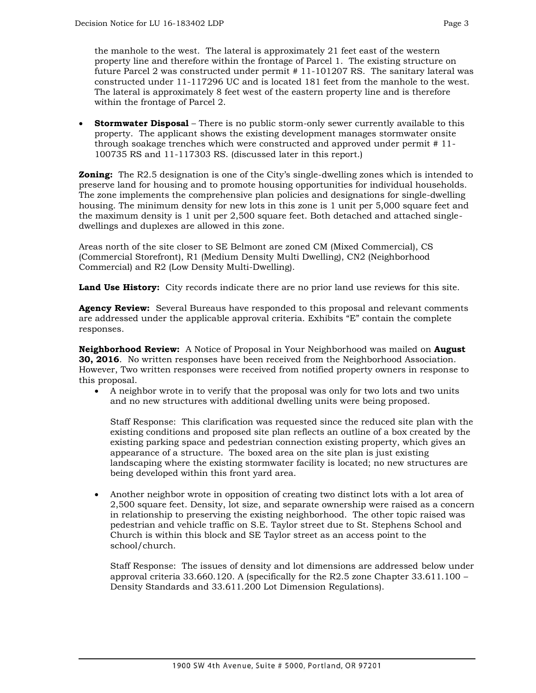the manhole to the west. The lateral is approximately 21 feet east of the western property line and therefore within the frontage of Parcel 1. The existing structure on future Parcel 2 was constructed under permit # 11-101207 RS. The sanitary lateral was constructed under 11-117296 UC and is located 181 feet from the manhole to the west. The lateral is approximately 8 feet west of the eastern property line and is therefore within the frontage of Parcel 2.

 **Stormwater Disposal** – There is no public storm-only sewer currently available to this property. The applicant shows the existing development manages stormwater onsite through soakage trenches which were constructed and approved under permit # 11- 100735 RS and 11-117303 RS. (discussed later in this report.)

**Zoning:** The R2.5 designation is one of the City's single-dwelling zones which is intended to preserve land for housing and to promote housing opportunities for individual households. The zone implements the comprehensive plan policies and designations for single-dwelling housing. The minimum density for new lots in this zone is 1 unit per 5,000 square feet and the maximum density is 1 unit per 2,500 square feet. Both detached and attached singledwellings and duplexes are allowed in this zone.

Areas north of the site closer to SE Belmont are zoned CM (Mixed Commercial), CS (Commercial Storefront), R1 (Medium Density Multi Dwelling), CN2 (Neighborhood Commercial) and R2 (Low Density Multi-Dwelling).

**Land Use History:** City records indicate there are no prior land use reviews for this site.

**Agency Review:** Several Bureaus have responded to this proposal and relevant comments are addressed under the applicable approval criteria. Exhibits "E" contain the complete responses.

**Neighborhood Review:** A Notice of Proposal in Your Neighborhood was mailed on **August 30, 2016**. No written responses have been received from the Neighborhood Association. However, Two written responses were received from notified property owners in response to this proposal.

 A neighbor wrote in to verify that the proposal was only for two lots and two units and no new structures with additional dwelling units were being proposed.

Staff Response: This clarification was requested since the reduced site plan with the existing conditions and proposed site plan reflects an outline of a box created by the existing parking space and pedestrian connection existing property, which gives an appearance of a structure. The boxed area on the site plan is just existing landscaping where the existing stormwater facility is located; no new structures are being developed within this front yard area.

 Another neighbor wrote in opposition of creating two distinct lots with a lot area of 2,500 square feet. Density, lot size, and separate ownership were raised as a concern in relationship to preserving the existing neighborhood. The other topic raised was pedestrian and vehicle traffic on S.E. Taylor street due to St. Stephens School and Church is within this block and SE Taylor street as an access point to the school/church.

Staff Response: The issues of density and lot dimensions are addressed below under approval criteria 33.660.120. A (specifically for the R2.5 zone Chapter 33.611.100 – Density Standards and 33.611.200 Lot Dimension Regulations).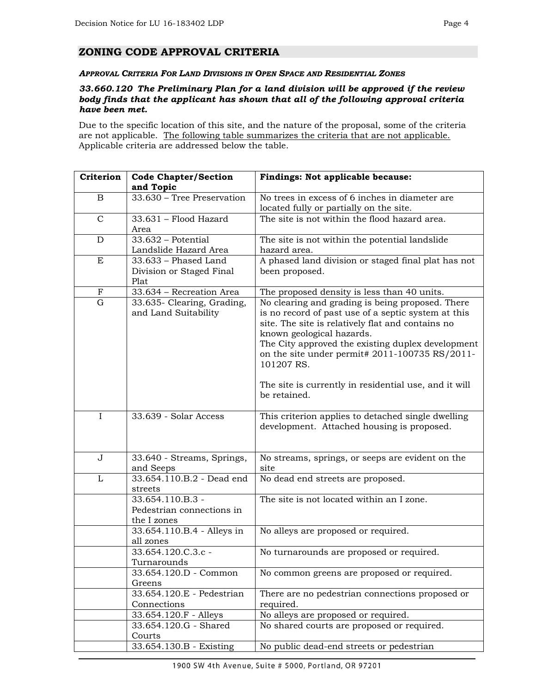#### *APPROVAL CRITERIA FOR LAND DIVISIONS IN OPEN SPACE AND RESIDENTIAL ZONES*

#### *33.660.120 The Preliminary Plan for a land division will be approved if the review body finds that the applicant has shown that all of the following approval criteria have been met.*

Due to the specific location of this site, and the nature of the proposal, some of the criteria are not applicable. The following table summarizes the criteria that are not applicable. Applicable criteria are addressed below the table.

| Criterion    | <b>Code Chapter/Section</b><br>and Topic                                       | Findings: Not applicable because:                                                                                                                                                                                                                                                                                                                                         |  |  |
|--------------|--------------------------------------------------------------------------------|---------------------------------------------------------------------------------------------------------------------------------------------------------------------------------------------------------------------------------------------------------------------------------------------------------------------------------------------------------------------------|--|--|
| B            | 33.630 - Tree Preservation                                                     | No trees in excess of 6 inches in diameter are<br>located fully or partially on the site.                                                                                                                                                                                                                                                                                 |  |  |
| $\mathsf{C}$ | The site is not within the flood hazard area.<br>33.631 - Flood Hazard<br>Area |                                                                                                                                                                                                                                                                                                                                                                           |  |  |
| D            | $33.632$ – Potential<br>Landslide Hazard Area                                  | The site is not within the potential landslide<br>hazard area.                                                                                                                                                                                                                                                                                                            |  |  |
| E            | 33.633 - Phased Land<br>Division or Staged Final<br>Plat                       | A phased land division or staged final plat has not<br>been proposed.                                                                                                                                                                                                                                                                                                     |  |  |
| $\mathbf F$  | 33.634 - Recreation Area                                                       | The proposed density is less than 40 units.                                                                                                                                                                                                                                                                                                                               |  |  |
| $\mathbf G$  | 33.635- Clearing, Grading,<br>and Land Suitability                             | No clearing and grading is being proposed. There<br>is no record of past use of a septic system at this<br>site. The site is relatively flat and contains no<br>known geological hazards.<br>The City approved the existing duplex development<br>on the site under permit# $2011-100735$ RS/2011-<br>101207 RS.<br>The site is currently in residential use, and it will |  |  |
|              |                                                                                | be retained.                                                                                                                                                                                                                                                                                                                                                              |  |  |
| I            | 33.639 - Solar Access                                                          | This criterion applies to detached single dwelling<br>development. Attached housing is proposed.                                                                                                                                                                                                                                                                          |  |  |
| $\mathbf{J}$ | 33.640 - Streams, Springs,<br>and Seeps                                        | No streams, springs, or seeps are evident on the<br>site                                                                                                                                                                                                                                                                                                                  |  |  |
| L            | 33.654.110.B.2 - Dead end<br>streets                                           | No dead end streets are proposed.                                                                                                                                                                                                                                                                                                                                         |  |  |
|              | 33.654.110.B.3 -<br>Pedestrian connections in<br>the I zones                   | The site is not located within an I zone.                                                                                                                                                                                                                                                                                                                                 |  |  |
|              | 33.654.110.B.4 - Alleys in<br>all zones                                        | No alleys are proposed or required.                                                                                                                                                                                                                                                                                                                                       |  |  |
|              | 33.654.120.C.3.c -<br>Turnarounds                                              | No turnarounds are proposed or required.                                                                                                                                                                                                                                                                                                                                  |  |  |
|              | 33.654.120.D - Common<br>Greens                                                | No common greens are proposed or required.                                                                                                                                                                                                                                                                                                                                |  |  |
|              | 33.654.120.E - Pedestrian<br>Connections                                       | There are no pedestrian connections proposed or<br>required.                                                                                                                                                                                                                                                                                                              |  |  |
|              | 33.654.120.F - Alleys                                                          | No alleys are proposed or required.                                                                                                                                                                                                                                                                                                                                       |  |  |
|              | 33.654.120.G - Shared<br>Courts                                                | No shared courts are proposed or required.                                                                                                                                                                                                                                                                                                                                |  |  |
|              | 33.654.130.B - Existing                                                        | No public dead-end streets or pedestrian                                                                                                                                                                                                                                                                                                                                  |  |  |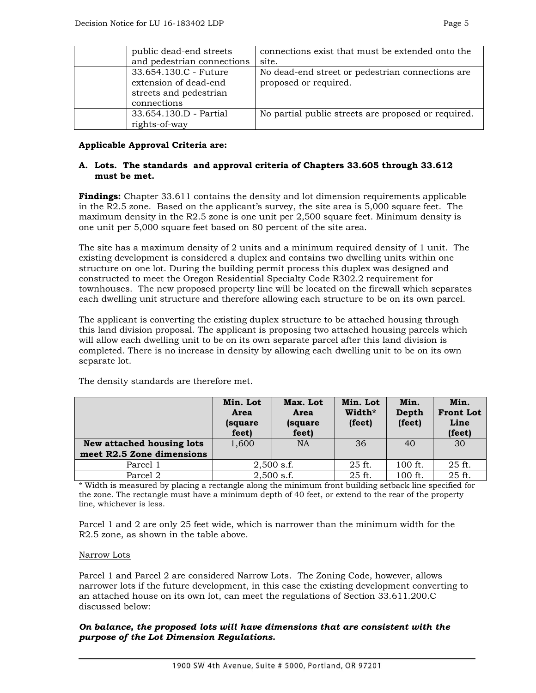| public dead-end streets    | connections exist that must be extended onto the    |
|----------------------------|-----------------------------------------------------|
| and pedestrian connections | site.                                               |
| 33.654.130.C - Future      | No dead-end street or pedestrian connections are    |
| extension of dead-end      | proposed or required.                               |
| streets and pedestrian     |                                                     |
| connections                |                                                     |
| 33.654.130.D - Partial     | No partial public streets are proposed or required. |
| rights-of-way              |                                                     |

## **Applicable Approval Criteria are:**

## **A. Lots. The standards and approval criteria of Chapters 33.605 through 33.612 must be met.**

**Findings:** Chapter 33.611 contains the density and lot dimension requirements applicable in the R2.5 zone. Based on the applicant's survey, the site area is 5,000 square feet. The maximum density in the R2.5 zone is one unit per 2,500 square feet. Minimum density is one unit per 5,000 square feet based on 80 percent of the site area.

The site has a maximum density of 2 units and a minimum required density of 1 unit. The existing development is considered a duplex and contains two dwelling units within one structure on one lot. During the building permit process this duplex was designed and constructed to meet the Oregon Residential Specialty Code R302.2 requirement for townhouses. The new proposed property line will be located on the firewall which separates each dwelling unit structure and therefore allowing each structure to be on its own parcel.

The applicant is converting the existing duplex structure to be attached housing through this land division proposal. The applicant is proposing two attached housing parcels which will allow each dwelling unit to be on its own separate parcel after this land division is completed. There is no increase in density by allowing each dwelling unit to be on its own separate lot.

|                           | Min. Lot<br>Area<br>(square)<br>feet) | Max. Lot<br>Area<br>(square<br>feet) | Min. Lot<br>Width*<br>(feet) | Min.<br>Depth<br>(feet) | Min.<br><b>Front Lot</b><br>Line<br>(feet) |
|---------------------------|---------------------------------------|--------------------------------------|------------------------------|-------------------------|--------------------------------------------|
| New attached housing lots | 1,600                                 | NA                                   | 36                           | 40                      | 30                                         |
| meet R2.5 Zone dimensions |                                       |                                      |                              |                         |                                            |
| Parcel 1                  | $2,500$ s.f.                          |                                      | 25 ft.                       | 100 ft.                 | 25 ft.                                     |
| Parcel 2                  | $2,500$ s.f.                          |                                      | $25$ ft.                     | 100 ft.                 | 25 ft.                                     |

The density standards are therefore met.

\* Width is measured by placing a rectangle along the minimum front building setback line specified for the zone. The rectangle must have a minimum depth of 40 feet, or extend to the rear of the property line, whichever is less.

Parcel 1 and 2 are only 25 feet wide, which is narrower than the minimum width for the R2.5 zone, as shown in the table above.

#### Narrow Lots

Parcel 1 and Parcel 2 are considered Narrow Lots. The Zoning Code, however, allows narrower lots if the future development, in this case the existing development converting to an attached house on its own lot, can meet the regulations of Section 33.611.200.C discussed below:

## *On balance, the proposed lots will have dimensions that are consistent with the purpose of the Lot Dimension Regulations.*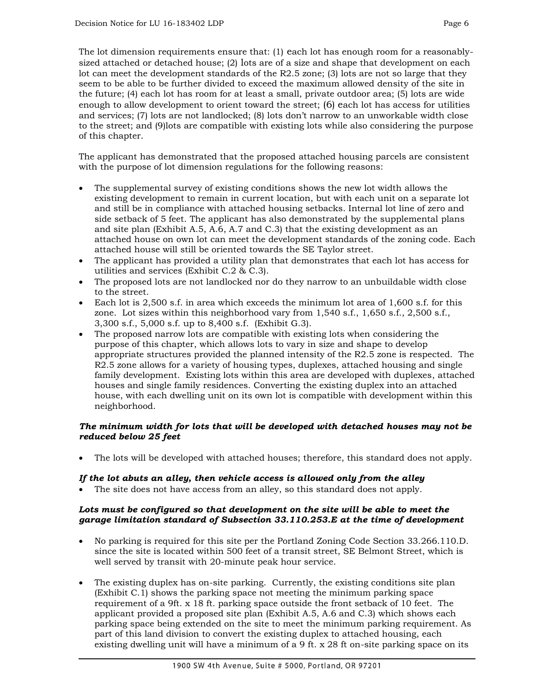The lot dimension requirements ensure that: (1) each lot has enough room for a reasonablysized attached or detached house; (2) lots are of a size and shape that development on each lot can meet the development standards of the R2.5 zone; (3) lots are not so large that they seem to be able to be further divided to exceed the maximum allowed density of the site in the future; (4) each lot has room for at least a small, private outdoor area; (5) lots are wide enough to allow development to orient toward the street; (6) each lot has access for utilities and services; (7) lots are not landlocked; (8) lots don't narrow to an unworkable width close to the street; and (9)lots are compatible with existing lots while also considering the purpose of this chapter.

The applicant has demonstrated that the proposed attached housing parcels are consistent with the purpose of lot dimension regulations for the following reasons:

- The supplemental survey of existing conditions shows the new lot width allows the existing development to remain in current location, but with each unit on a separate lot and still be in compliance with attached housing setbacks. Internal lot line of zero and side setback of 5 feet. The applicant has also demonstrated by the supplemental plans and site plan (Exhibit A.5, A.6, A.7 and C.3) that the existing development as an attached house on own lot can meet the development standards of the zoning code. Each attached house will still be oriented towards the SE Taylor street.
- The applicant has provided a utility plan that demonstrates that each lot has access for utilities and services (Exhibit C.2 & C.3).
- The proposed lots are not landlocked nor do they narrow to an unbuildable width close to the street.
- Each lot is 2,500 s.f. in area which exceeds the minimum lot area of 1,600 s.f. for this zone. Lot sizes within this neighborhood vary from 1,540 s.f., 1,650 s.f., 2,500 s.f., 3,300 s.f., 5,000 s.f. up to 8,400 s.f. (Exhibit G.3).
- The proposed narrow lots are compatible with existing lots when considering the purpose of this chapter, which allows lots to vary in size and shape to develop appropriate structures provided the planned intensity of the R2.5 zone is respected. The R2.5 zone allows for a variety of housing types, duplexes, attached housing and single family development. Existing lots within this area are developed with duplexes, attached houses and single family residences. Converting the existing duplex into an attached house, with each dwelling unit on its own lot is compatible with development within this neighborhood.

# *The minimum width for lots that will be developed with detached houses may not be reduced below 25 feet*

The lots will be developed with attached houses; therefore, this standard does not apply.

# *If the lot abuts an alley, then vehicle access is allowed only from the alley*

The site does not have access from an alley, so this standard does not apply.

## Lots must be configured so that development on the site will be able to meet the *garage limitation standard of Subsection 33.110.253.E at the time of development*

- No parking is required for this site per the Portland Zoning Code Section 33.266.110.D. since the site is located within 500 feet of a transit street, SE Belmont Street, which is well served by transit with 20-minute peak hour service.
- The existing duplex has on-site parking. Currently, the existing conditions site plan (Exhibit C.1) shows the parking space not meeting the minimum parking space requirement of a 9ft. x 18 ft. parking space outside the front setback of 10 feet. The applicant provided a proposed site plan (Exhibit A.5, A.6 and C.3) which shows each parking space being extended on the site to meet the minimum parking requirement. As part of this land division to convert the existing duplex to attached housing, each existing dwelling unit will have a minimum of a 9 ft. x 28 ft on-site parking space on its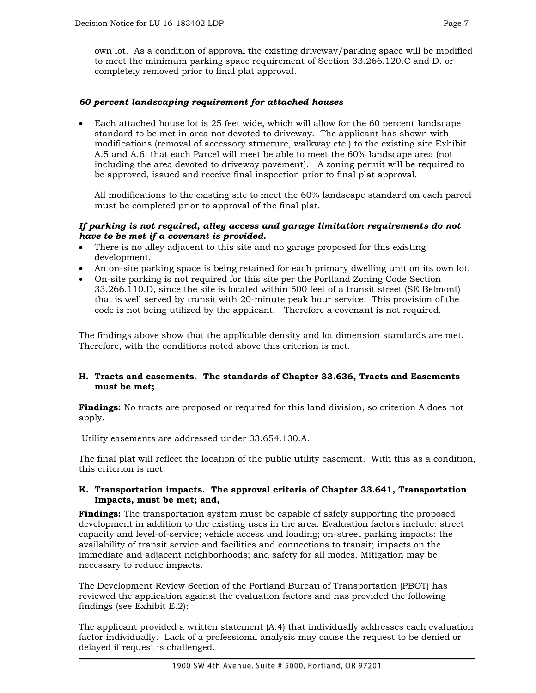own lot. As a condition of approval the existing driveway/parking space will be modified to meet the minimum parking space requirement of Section 33.266.120.C and D. or completely removed prior to final plat approval.

## *60 percent landscaping requirement for attached houses*

 Each attached house lot is 25 feet wide, which will allow for the 60 percent landscape standard to be met in area not devoted to driveway. The applicant has shown with modifications (removal of accessory structure, walkway etc.) to the existing site Exhibit A.5 and A.6. that each Parcel will meet be able to meet the 60% landscape area (not including the area devoted to driveway pavement). A zoning permit will be required to be approved, issued and receive final inspection prior to final plat approval.

All modifications to the existing site to meet the 60% landscape standard on each parcel must be completed prior to approval of the final plat.

## *If parking is not required, alley access and garage limitation requirements do not have to be met if a covenant is provided.*

- There is no alley adjacent to this site and no garage proposed for this existing development.
- An on-site parking space is being retained for each primary dwelling unit on its own lot.
- On-site parking is not required for this site per the Portland Zoning Code Section 33.266.110.D, since the site is located within 500 feet of a transit street (SE Belmont) that is well served by transit with 20-minute peak hour service. This provision of the code is not being utilized by the applicant. Therefore a covenant is not required.

The findings above show that the applicable density and lot dimension standards are met. Therefore, with the conditions noted above this criterion is met.

## **H. Tracts and easements. The standards of Chapter 33.636, Tracts and Easements must be met;**

**Findings:** No tracts are proposed or required for this land division, so criterion A does not apply.

Utility easements are addressed under 33.654.130.A.

The final plat will reflect the location of the public utility easement. With this as a condition, this criterion is met.

#### **K. Transportation impacts. The approval criteria of Chapter 33.641, Transportation Impacts, must be met; and,**

**Findings:** The transportation system must be capable of safely supporting the proposed development in addition to the existing uses in the area. Evaluation factors include: street capacity and level-of-service; vehicle access and loading; on-street parking impacts: the availability of transit service and facilities and connections to transit; impacts on the immediate and adjacent neighborhoods; and safety for all modes. Mitigation may be necessary to reduce impacts.

The Development Review Section of the Portland Bureau of Transportation (PBOT) has reviewed the application against the evaluation factors and has provided the following findings (see Exhibit E.2):

The applicant provided a written statement (A.4) that individually addresses each evaluation factor individually. Lack of a professional analysis may cause the request to be denied or delayed if request is challenged.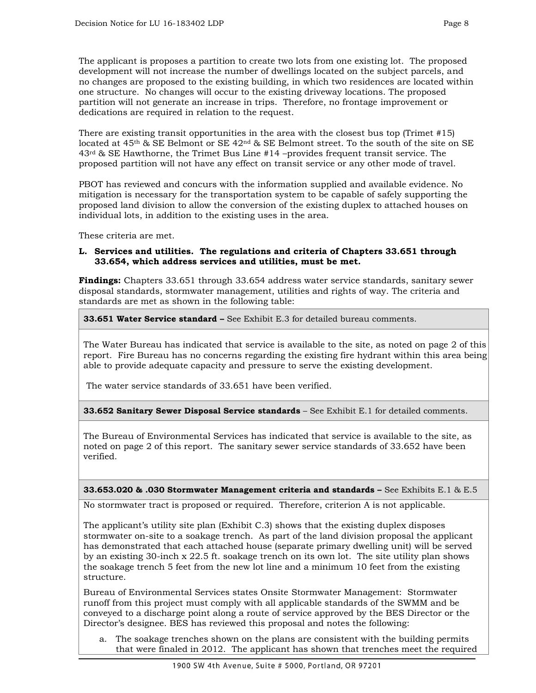The applicant is proposes a partition to create two lots from one existing lot. The proposed

development will not increase the number of dwellings located on the subject parcels, and no changes are proposed to the existing building, in which two residences are located within one structure. No changes will occur to the existing driveway locations. The proposed partition will not generate an increase in trips. Therefore, no frontage improvement or dedications are required in relation to the request.

There are existing transit opportunities in the area with the closest bus top (Trimet #15) located at 45<sup>th</sup> & SE Belmont or SE 42<sup>nd</sup> & SE Belmont street. To the south of the site on SE  $43<sup>rd</sup>$  & SE Hawthorne, the Trimet Bus Line #14 –provides frequent transit service. The proposed partition will not have any effect on transit service or any other mode of travel.

PBOT has reviewed and concurs with the information supplied and available evidence. No mitigation is necessary for the transportation system to be capable of safely supporting the proposed land division to allow the conversion of the existing duplex to attached houses on individual lots, in addition to the existing uses in the area.

These criteria are met.

## **L. Services and utilities. The regulations and criteria of Chapters 33.651 through 33.654, which address services and utilities, must be met.**

**Findings:** Chapters 33.651 through 33.654 address water service standards, sanitary sewer disposal standards, stormwater management, utilities and rights of way. The criteria and standards are met as shown in the following table:

**33.651 Water Service standard –** See Exhibit E.3 for detailed bureau comments.

The Water Bureau has indicated that service is available to the site, as noted on page 2 of this report. Fire Bureau has no concerns regarding the existing fire hydrant within this area being able to provide adequate capacity and pressure to serve the existing development.

The water service standards of 33.651 have been verified.

**33.652 Sanitary Sewer Disposal Service standards** – See Exhibit E.1 for detailed comments.

The Bureau of Environmental Services has indicated that service is available to the site, as noted on page 2 of this report. The sanitary sewer service standards of 33.652 have been verified.

**33.653.020 & .030 Stormwater Management criteria and standards –** See Exhibits E.1 & E.5

No stormwater tract is proposed or required. Therefore, criterion A is not applicable.

The applicant's utility site plan (Exhibit C.3) shows that the existing duplex disposes stormwater on-site to a soakage trench. As part of the land division proposal the applicant has demonstrated that each attached house (separate primary dwelling unit) will be served by an existing 30-inch x 22.5 ft. soakage trench on its own lot. The site utility plan shows the soakage trench 5 feet from the new lot line and a minimum 10 feet from the existing structure.

Bureau of Environmental Services states Onsite Stormwater Management: Stormwater runoff from this project must comply with all applicable standards of the SWMM and be conveyed to a discharge point along a route of service approved by the BES Director or the Director's designee. BES has reviewed this proposal and notes the following:

a. The soakage trenches shown on the plans are consistent with the building permits that were finaled in 2012. The applicant has shown that trenches meet the required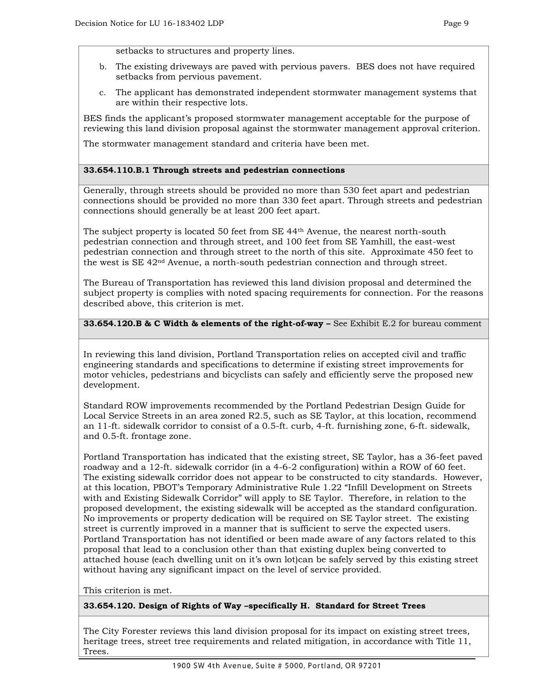setbacks to structures and property lines.

- b. The existing driveways are paved with pervious pavers. BES does not have required setbacks from pervious pavement.
- c. The applicant has demonstrated independent stormwater management systems that are within their respective lots.

BES finds the applicant's proposed stormwater management acceptable for the purpose of reviewing this land division proposal against the stormwater management approval criterion.

The stormwater management standard and criteria have been met.

## **33.654.110.B.1 Through streets and pedestrian connections**

Generally, through streets should be provided no more than 530 feet apart and pedestrian connections should be provided no more than 330 feet apart. Through streets and pedestrian connections should generally be at least 200 feet apart.

The subject property is located 50 feet from SE 44th Avenue, the nearest north-south pedestrian connection and through street, and 100 feet from SE Yamhill, the east-west pedestrian connection and through street to the north of this site. Approximate 450 feet to the west is SE 42nd Avenue, a north-south pedestrian connection and through street.

The Bureau of Transportation has reviewed this land division proposal and determined the subject property is complies with noted spacing requirements for connection. For the reasons described above, this criterion is met.

## **33.654.120.B & C Width & elements of the right-of-way –** See Exhibit E.2 for bureau comment

In reviewing this land division, Portland Transportation relies on accepted civil and traffic engineering standards and specifications to determine if existing street improvements for motor vehicles, pedestrians and bicyclists can safely and efficiently serve the proposed new development.

Standard ROW improvements recommended by the Portland Pedestrian Design Guide for Local Service Streets in an area zoned R2.5, such as SE Taylor, at this location, recommend an 11-ft. sidewalk corridor to consist of a 0.5-ft. curb, 4-ft. furnishing zone, 6-ft. sidewalk, and 0.5-ft. frontage zone.

Portland Transportation has indicated that the existing street, SE Taylor, has a 36-feet paved roadway and a 12-ft. sidewalk corridor (in a 4-6-2 configuration) within a ROW of 60 feet. The existing sidewalk corridor does not appear to be constructed to city standards. However, at this location, PBOT's Temporary Administrative Rule 1.22 "Infill Development on Streets with and Existing Sidewalk Corridor" will apply to SE Taylor. Therefore, in relation to the proposed development, the existing sidewalk will be accepted as the standard configuration. No improvements or property dedication will be required on SE Taylor street. The existing street is currently improved in a manner that is sufficient to serve the expected users. Portland Transportation has not identified or been made aware of any factors related to this proposal that lead to a conclusion other than that existing duplex being converted to attached house (each dwelling unit on it's own lot)can be safely served by this existing street without having any significant impact on the level of service provided.

This criterion is met.

**33.654.120. Design of Rights of Way –specifically H. Standard for Street Trees**

The City Forester reviews this land division proposal for its impact on existing street trees, heritage trees, street tree requirements and related mitigation, in accordance with Title 11, Trees.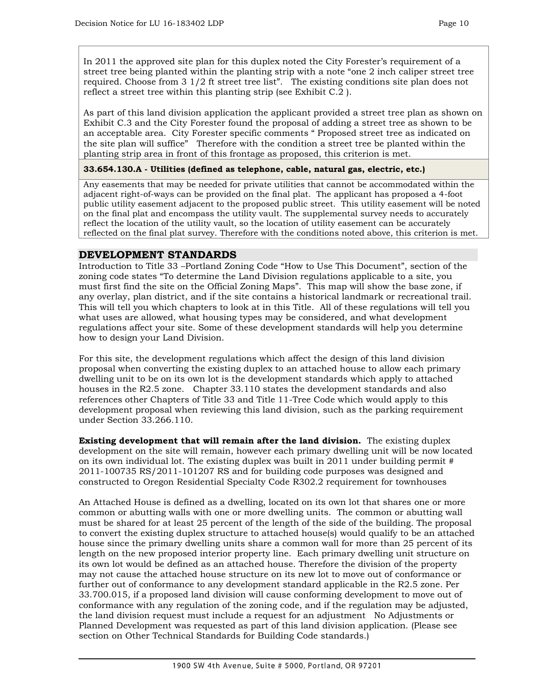In 2011 the approved site plan for this duplex noted the City Forester's requirement of a street tree being planted within the planting strip with a note "one 2 inch caliper street tree required. Choose from 3 1/2 ft street tree list". The existing conditions site plan does not reflect a street tree within this planting strip (see Exhibit C.2 ).

As part of this land division application the applicant provided a street tree plan as shown on Exhibit C.3 and the City Forester found the proposal of adding a street tree as shown to be an acceptable area. City Forester specific comments " Proposed street tree as indicated on the site plan will suffice" Therefore with the condition a street tree be planted within the planting strip area in front of this frontage as proposed, this criterion is met.

#### **33.654.130.A - Utilities (defined as telephone, cable, natural gas, electric, etc.)**

Any easements that may be needed for private utilities that cannot be accommodated within the adjacent right-of-ways can be provided on the final plat. The applicant has proposed a 4-foot public utility easement adjacent to the proposed public street. This utility easement will be noted on the final plat and encompass the utility vault. The supplemental survey needs to accurately reflect the location of the utility vault, so the location of utility easement can be accurately reflected on the final plat survey. Therefore with the conditions noted above, this criterion is met.

# **DEVELOPMENT STANDARDS**

Introduction to Title 33 –Portland Zoning Code "How to Use This Document", section of the zoning code states "To determine the Land Division regulations applicable to a site, you must first find the site on the Official Zoning Maps". This map will show the base zone, if any overlay, plan district, and if the site contains a historical landmark or recreational trail. This will tell you which chapters to look at in this Title. All of these regulations will tell you what uses are allowed, what housing types may be considered, and what development regulations affect your site. Some of these development standards will help you determine how to design your Land Division.

For this site, the development regulations which affect the design of this land division proposal when converting the existing duplex to an attached house to allow each primary dwelling unit to be on its own lot is the development standards which apply to attached houses in the R2.5 zone. Chapter 33.110 states the development standards and also references other Chapters of Title 33 and Title 11-Tree Code which would apply to this development proposal when reviewing this land division, such as the parking requirement under Section 33.266.110.

**Existing development that will remain after the land division.** The existing duplex development on the site will remain, however each primary dwelling unit will be now located on its own individual lot. The existing duplex was built in 2011 under building permit # 2011-100735 RS/2011-101207 RS and for building code purposes was designed and constructed to Oregon Residential Specialty Code R302.2 requirement for townhouses

An Attached House is defined as a dwelling, located on its own lot that shares one or more common or abutting walls with one or more dwelling units. The common or abutting wall must be shared for at least 25 percent of the length of the side of the building. The proposal to convert the existing duplex structure to attached house(s) would qualify to be an attached house since the primary dwelling units share a common wall for more than 25 percent of its length on the new proposed interior property line. Each primary dwelling unit structure on its own lot would be defined as an attached house. Therefore the division of the property may not cause the attached house structure on its new lot to move out of conformance or further out of conformance to any development standard applicable in the R2.5 zone. Per 33.700.015, if a proposed land division will cause conforming development to move out of conformance with any regulation of the zoning code, and if the regulation may be adjusted, the land division request must include a request for an adjustment No Adjustments or Planned Development was requested as part of this land division application. (Please see section on Other Technical Standards for Building Code standards.)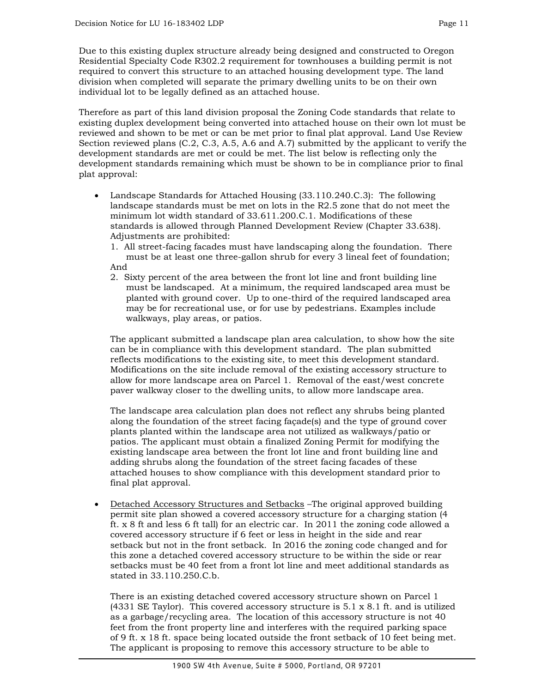Due to this existing duplex structure already being designed and constructed to Oregon Residential Specialty Code R302.2 requirement for townhouses a building permit is not required to convert this structure to an attached housing development type. The land division when completed will separate the primary dwelling units to be on their own individual lot to be legally defined as an attached house.

Therefore as part of this land division proposal the Zoning Code standards that relate to existing duplex development being converted into attached house on their own lot must be reviewed and shown to be met or can be met prior to final plat approval. Land Use Review Section reviewed plans (C.2, C.3, A.5, A.6 and A.7) submitted by the applicant to verify the development standards are met or could be met. The list below is reflecting only the development standards remaining which must be shown to be in compliance prior to final plat approval:

- Landscape Standards for Attached Housing (33.110.240.C.3): The following landscape standards must be met on lots in the R2.5 zone that do not meet the minimum lot width standard of 33.611.200.C.1. Modifications of these standards is allowed through Planned Development Review (Chapter 33.638). Adjustments are prohibited:
	- 1. All street-facing facades must have landscaping along the foundation. There must be at least one three-gallon shrub for every 3 lineal feet of foundation; And
	- 2. Sixty percent of the area between the front lot line and front building line must be landscaped. At a minimum, the required landscaped area must be planted with ground cover. Up to one-third of the required landscaped area may be for recreational use, or for use by pedestrians. Examples include walkways, play areas, or patios.

The applicant submitted a landscape plan area calculation, to show how the site can be in compliance with this development standard. The plan submitted reflects modifications to the existing site, to meet this development standard. Modifications on the site include removal of the existing accessory structure to allow for more landscape area on Parcel 1. Removal of the east/west concrete paver walkway closer to the dwelling units, to allow more landscape area.

The landscape area calculation plan does not reflect any shrubs being planted along the foundation of the street facing façade(s) and the type of ground cover plants planted within the landscape area not utilized as walkways/patio or patios. The applicant must obtain a finalized Zoning Permit for modifying the existing landscape area between the front lot line and front building line and adding shrubs along the foundation of the street facing facades of these attached houses to show compliance with this development standard prior to final plat approval.

• Detached Accessory Structures and Setbacks -The original approved building permit site plan showed a covered accessory structure for a charging station (4 ft. x 8 ft and less 6 ft tall) for an electric car. In 2011 the zoning code allowed a covered accessory structure if 6 feet or less in height in the side and rear setback but not in the front setback. In 2016 the zoning code changed and for this zone a detached covered accessory structure to be within the side or rear setbacks must be 40 feet from a front lot line and meet additional standards as stated in 33.110.250.C.b.

There is an existing detached covered accessory structure shown on Parcel 1 (4331 SE Taylor). This covered accessory structure is 5.1 x 8.1 ft. and is utilized as a garbage/recycling area. The location of this accessory structure is not 40 feet from the front property line and interferes with the required parking space of 9 ft. x 18 ft. space being located outside the front setback of 10 feet being met. The applicant is proposing to remove this accessory structure to be able to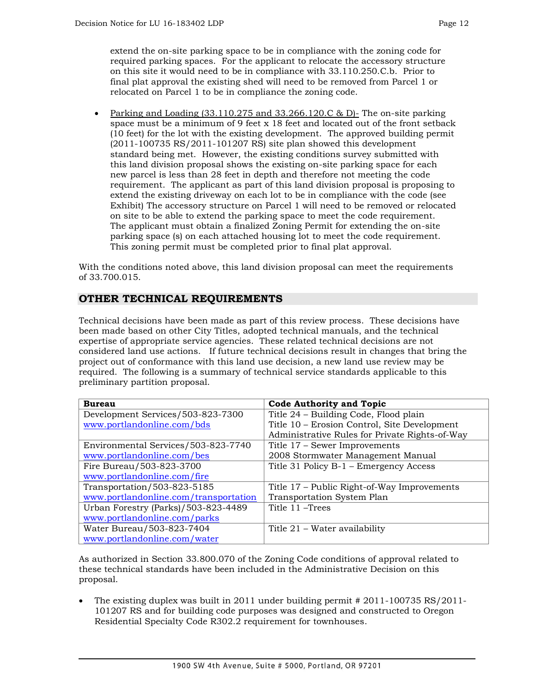extend the on-site parking space to be in compliance with the zoning code for required parking spaces. For the applicant to relocate the accessory structure on this site it would need to be in compliance with 33.110.250.C.b. Prior to final plat approval the existing shed will need to be removed from Parcel 1 or relocated on Parcel 1 to be in compliance the zoning code.

• Parking and Loading  $(33.110.275 \text{ and } 33.266.120 \text{ C} \& \text{ D}$ - The on-site parking space must be a minimum of 9 feet x 18 feet and located out of the front setback (10 feet) for the lot with the existing development. The approved building permit (2011-100735 RS/2011-101207 RS) site plan showed this development standard being met. However, the existing conditions survey submitted with this land division proposal shows the existing on-site parking space for each new parcel is less than 28 feet in depth and therefore not meeting the code requirement. The applicant as part of this land division proposal is proposing to extend the existing driveway on each lot to be in compliance with the code (see Exhibit) The accessory structure on Parcel 1 will need to be removed or relocated on site to be able to extend the parking space to meet the code requirement. The applicant must obtain a finalized Zoning Permit for extending the on-site parking space (s) on each attached housing lot to meet the code requirement. This zoning permit must be completed prior to final plat approval.

With the conditions noted above, this land division proposal can meet the requirements of 33.700.015.

# **OTHER TECHNICAL REQUIREMENTS**

Technical decisions have been made as part of this review process. These decisions have been made based on other City Titles, adopted technical manuals, and the technical expertise of appropriate service agencies. These related technical decisions are not considered land use actions. If future technical decisions result in changes that bring the project out of conformance with this land use decision, a new land use review may be required. The following is a summary of technical service standards applicable to this preliminary partition proposal.

| <b>Bureau</b>                         | <b>Code Authority and Topic</b>                |  |  |  |
|---------------------------------------|------------------------------------------------|--|--|--|
| Development Services/503-823-7300     | Title 24 – Building Code, Flood plain          |  |  |  |
| www.portlandonline.com/bds            | Title 10 – Erosion Control, Site Development   |  |  |  |
|                                       | Administrative Rules for Private Rights-of-Way |  |  |  |
| Environmental Services/503-823-7740   | Title 17 - Sewer Improvements                  |  |  |  |
| www.portlandonline.com/bes            | 2008 Stormwater Management Manual              |  |  |  |
| Fire Bureau/503-823-3700              | Title 31 Policy B-1 – Emergency Access         |  |  |  |
| www.portlandonline.com/fire           |                                                |  |  |  |
| Transportation/503-823-5185           | Title 17 – Public Right-of-Way Improvements    |  |  |  |
| www.portlandonline.com/transportation | Transportation System Plan                     |  |  |  |
| Urban Forestry (Parks)/503-823-4489   | Title 11 – Trees                               |  |  |  |
| www.portlandonline.com/parks          |                                                |  |  |  |
| Water Bureau/503-823-7404             | Title 21 – Water availability                  |  |  |  |
| www.portlandonline.com/water          |                                                |  |  |  |

As authorized in Section 33.800.070 of the Zoning Code conditions of approval related to these technical standards have been included in the Administrative Decision on this proposal.

The existing duplex was built in 2011 under building permit  $\#$  2011-100735 RS/2011-101207 RS and for building code purposes was designed and constructed to Oregon Residential Specialty Code R302.2 requirement for townhouses.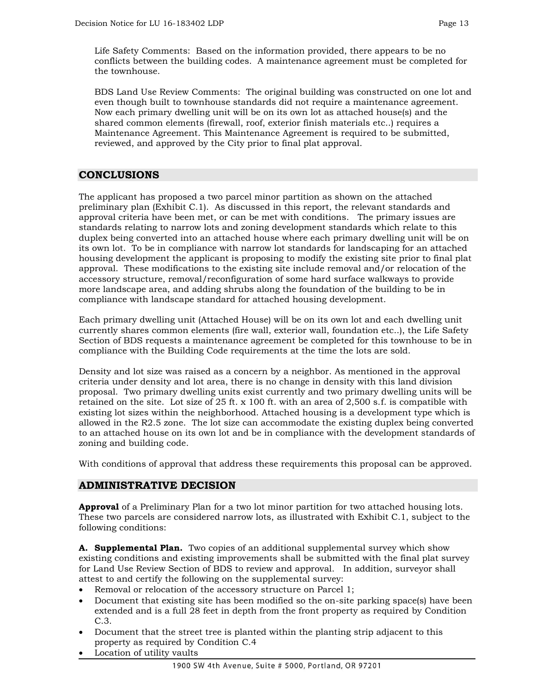Life Safety Comments: Based on the information provided, there appears to be no conflicts between the building codes. A maintenance agreement must be completed for the townhouse.

BDS Land Use Review Comments: The original building was constructed on one lot and even though built to townhouse standards did not require a maintenance agreement. Now each primary dwelling unit will be on its own lot as attached house(s) and the shared common elements (firewall, roof, exterior finish materials etc..) requires a Maintenance Agreement. This Maintenance Agreement is required to be submitted, reviewed, and approved by the City prior to final plat approval.

# **CONCLUSIONS**

The applicant has proposed a two parcel minor partition as shown on the attached preliminary plan (Exhibit C.1). As discussed in this report, the relevant standards and approval criteria have been met, or can be met with conditions. The primary issues are standards relating to narrow lots and zoning development standards which relate to this duplex being converted into an attached house where each primary dwelling unit will be on its own lot. To be in compliance with narrow lot standards for landscaping for an attached housing development the applicant is proposing to modify the existing site prior to final plat approval. These modifications to the existing site include removal and/or relocation of the accessory structure, removal/reconfiguration of some hard surface walkways to provide more landscape area, and adding shrubs along the foundation of the building to be in compliance with landscape standard for attached housing development.

Each primary dwelling unit (Attached House) will be on its own lot and each dwelling unit currently shares common elements (fire wall, exterior wall, foundation etc..), the Life Safety Section of BDS requests a maintenance agreement be completed for this townhouse to be in compliance with the Building Code requirements at the time the lots are sold.

Density and lot size was raised as a concern by a neighbor. As mentioned in the approval criteria under density and lot area, there is no change in density with this land division proposal. Two primary dwelling units exist currently and two primary dwelling units will be retained on the site. Lot size of  $25$  ft. x 100 ft. with an area of  $2,500$  s.f. is compatible with existing lot sizes within the neighborhood. Attached housing is a development type which is allowed in the R2.5 zone. The lot size can accommodate the existing duplex being converted to an attached house on its own lot and be in compliance with the development standards of zoning and building code.

With conditions of approval that address these requirements this proposal can be approved.

# **ADMINISTRATIVE DECISION**

**Approval** of a Preliminary Plan for a two lot minor partition for two attached housing lots. These two parcels are considered narrow lots, as illustrated with Exhibit C.1, subject to the following conditions:

**A. Supplemental Plan.** Two copies of an additional supplemental survey which show existing conditions and existing improvements shall be submitted with the final plat survey for Land Use Review Section of BDS to review and approval. In addition, surveyor shall attest to and certify the following on the supplemental survey:

- Removal or relocation of the accessory structure on Parcel 1;
- Document that existing site has been modified so the on-site parking space(s) have been extended and is a full 28 feet in depth from the front property as required by Condition C.3.
- Document that the street tree is planted within the planting strip adjacent to this property as required by Condition C.4
- Location of utility vaults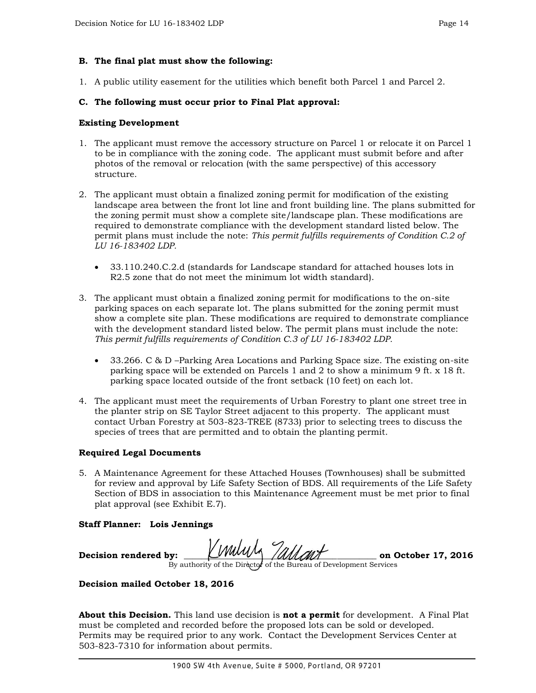## **B. The final plat must show the following:**

1. A public utility easement for the utilities which benefit both Parcel 1 and Parcel 2.

## **C. The following must occur prior to Final Plat approval:**

#### **Existing Development**

- 1. The applicant must remove the accessory structure on Parcel 1 or relocate it on Parcel 1 to be in compliance with the zoning code. The applicant must submit before and after photos of the removal or relocation (with the same perspective) of this accessory structure.
- 2. The applicant must obtain a finalized zoning permit for modification of the existing landscape area between the front lot line and front building line. The plans submitted for the zoning permit must show a complete site/landscape plan. These modifications are required to demonstrate compliance with the development standard listed below. The permit plans must include the note: *This permit fulfills requirements of Condition C.2 of LU 16-183402 LDP.*
	- 33.110.240.C.2.d (standards for Landscape standard for attached houses lots in R2.5 zone that do not meet the minimum lot width standard).
- 3. The applicant must obtain a finalized zoning permit for modifications to the on-site parking spaces on each separate lot. The plans submitted for the zoning permit must show a complete site plan. These modifications are required to demonstrate compliance with the development standard listed below. The permit plans must include the note: *This permit fulfills requirements of Condition C.3 of LU 16-183402 LDP.*
	- 33.266. C & D –Parking Area Locations and Parking Space size. The existing on-site parking space will be extended on Parcels 1 and 2 to show a minimum 9 ft. x 18 ft. parking space located outside of the front setback (10 feet) on each lot.
- 4. The applicant must meet the requirements of Urban Forestry to plant one street tree in the planter strip on SE Taylor Street adjacent to this property. The applicant must contact Urban Forestry at 503-823-TREE (8733) prior to selecting trees to discuss the species of trees that are permitted and to obtain the planting permit.

#### **Required Legal Documents**

5. A Maintenance Agreement for these Attached Houses (Townhouses) shall be submitted for review and approval by Life Safety Section of BDS. All requirements of the Life Safety Section of BDS in association to this Maintenance Agreement must be met prior to final plat approval (see Exhibit E.7).

#### **Staff Planner: Lois Jennings**

**Decision rendered by: \_\_\_\_\_\_\_\_\_\_\_\_\_\_\_\_\_\_\_\_\_\_\_\_\_\_\_\_\_\_\_\_\_\_\_\_\_\_\_\_\_\_\_\_ on October 17, 2016** By authority of the Director of the Bureau of Development Services

#### **Decision mailed October 18, 2016**

**About this Decision.** This land use decision is **not a permit** for development. A Final Plat must be completed and recorded before the proposed lots can be sold or developed. Permits may be required prior to any work. Contact the Development Services Center at 503-823-7310 for information about permits.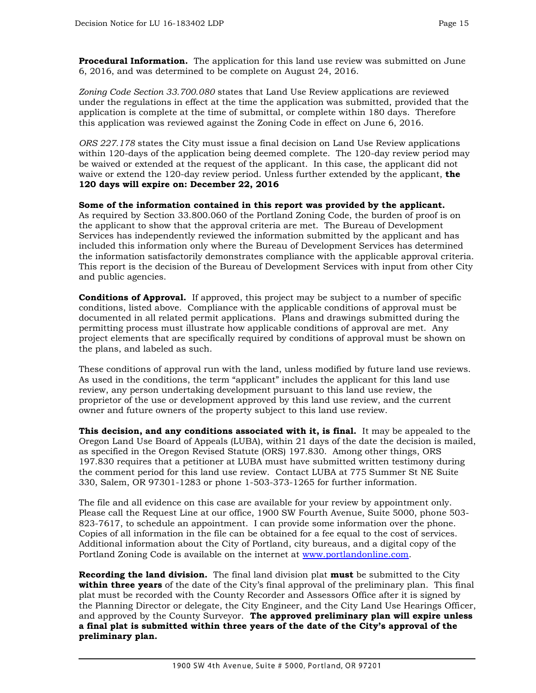**Procedural Information.** The application for this land use review was submitted on June 6, 2016, and was determined to be complete on August 24, 2016.

*Zoning Code Section 33.700.080* states that Land Use Review applications are reviewed under the regulations in effect at the time the application was submitted, provided that the application is complete at the time of submittal, or complete within 180 days. Therefore this application was reviewed against the Zoning Code in effect on June 6, 2016.

*ORS 227.178* states the City must issue a final decision on Land Use Review applications within 120-days of the application being deemed complete. The 120-day review period may be waived or extended at the request of the applicant. In this case, the applicant did not waive or extend the 120-day review period. Unless further extended by the applicant, **the 120 days will expire on: December 22, 2016**

**Some of the information contained in this report was provided by the applicant.**  As required by Section 33.800.060 of the Portland Zoning Code, the burden of proof is on the applicant to show that the approval criteria are met. The Bureau of Development Services has independently reviewed the information submitted by the applicant and has included this information only where the Bureau of Development Services has determined the information satisfactorily demonstrates compliance with the applicable approval criteria. This report is the decision of the Bureau of Development Services with input from other City and public agencies.

**Conditions of Approval.** If approved, this project may be subject to a number of specific conditions, listed above. Compliance with the applicable conditions of approval must be documented in all related permit applications. Plans and drawings submitted during the permitting process must illustrate how applicable conditions of approval are met. Any project elements that are specifically required by conditions of approval must be shown on the plans, and labeled as such.

These conditions of approval run with the land, unless modified by future land use reviews. As used in the conditions, the term "applicant" includes the applicant for this land use review, any person undertaking development pursuant to this land use review, the proprietor of the use or development approved by this land use review, and the current owner and future owners of the property subject to this land use review.

**This decision, and any conditions associated with it, is final.** It may be appealed to the Oregon Land Use Board of Appeals (LUBA), within 21 days of the date the decision is mailed, as specified in the Oregon Revised Statute (ORS) 197.830. Among other things, ORS 197.830 requires that a petitioner at LUBA must have submitted written testimony during the comment period for this land use review. Contact LUBA at 775 Summer St NE Suite 330, Salem, OR 97301-1283 or phone 1-503-373-1265 for further information.

The file and all evidence on this case are available for your review by appointment only. Please call the Request Line at our office, 1900 SW Fourth Avenue, Suite 5000, phone 503- 823-7617, to schedule an appointment. I can provide some information over the phone. Copies of all information in the file can be obtained for a fee equal to the cost of services. Additional information about the City of Portland, city bureaus, and a digital copy of the Portland Zoning Code is available on the internet at [www.portlandonline.com.](http://www.portlandonline.com/)

**Recording the land division.** The final land division plat **must** be submitted to the City **within three years** of the date of the City's final approval of the preliminary plan. This final plat must be recorded with the County Recorder and Assessors Office after it is signed by the Planning Director or delegate, the City Engineer, and the City Land Use Hearings Officer, and approved by the County Surveyor. **The approved preliminary plan will expire unless a final plat is submitted within three years of the date of the City's approval of the preliminary plan.**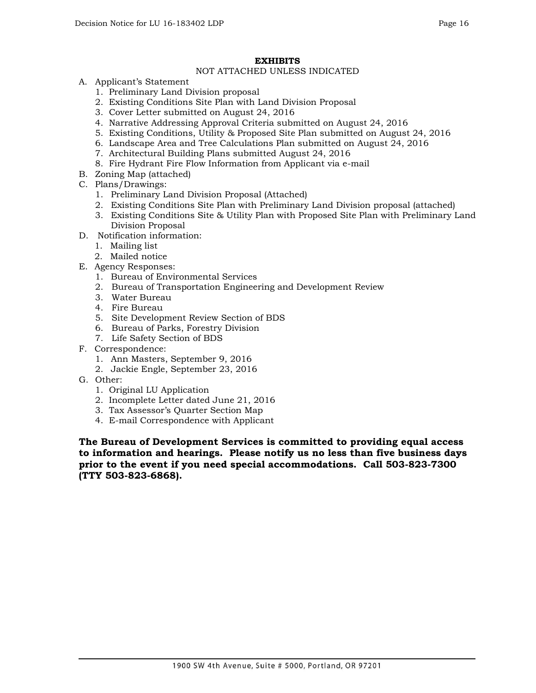## **EXHIBITS**

#### NOT ATTACHED UNLESS INDICATED

- A. Applicant's Statement
	- 1. Preliminary Land Division proposal
	- 2. Existing Conditions Site Plan with Land Division Proposal
	- 3. Cover Letter submitted on August 24, 2016
	- 4. Narrative Addressing Approval Criteria submitted on August 24, 2016
	- 5. Existing Conditions, Utility & Proposed Site Plan submitted on August 24, 2016
	- 6. Landscape Area and Tree Calculations Plan submitted on August 24, 2016
	- 7. Architectural Building Plans submitted August 24, 2016
	- 8. Fire Hydrant Fire Flow Information from Applicant via e-mail
- B. Zoning Map (attached)
- C. Plans/Drawings:
	- 1. Preliminary Land Division Proposal (Attached)
	- 2. Existing Conditions Site Plan with Preliminary Land Division proposal (attached)
	- 3. Existing Conditions Site & Utility Plan with Proposed Site Plan with Preliminary Land Division Proposal
- D. Notification information:
	- 1. Mailing list
	- 2. Mailed notice
- E. Agency Responses:
	- 1. Bureau of Environmental Services
	- 2. Bureau of Transportation Engineering and Development Review
	- 3. Water Bureau
	- 4. Fire Bureau
	- 5. Site Development Review Section of BDS
	- 6. Bureau of Parks, Forestry Division
	- 7. Life Safety Section of BDS
- F. Correspondence:
	- 1. Ann Masters, September 9, 2016
	- 2. Jackie Engle, September 23, 2016
- G. Other:
	- 1. Original LU Application
	- 2. Incomplete Letter dated June 21, 2016
	- 3. Tax Assessor's Quarter Section Map
	- 4. E-mail Correspondence with Applicant

**The Bureau of Development Services is committed to providing equal access to information and hearings. Please notify us no less than five business days prior to the event if you need special accommodations. Call 503-823-7300 (TTY 503-823-6868).**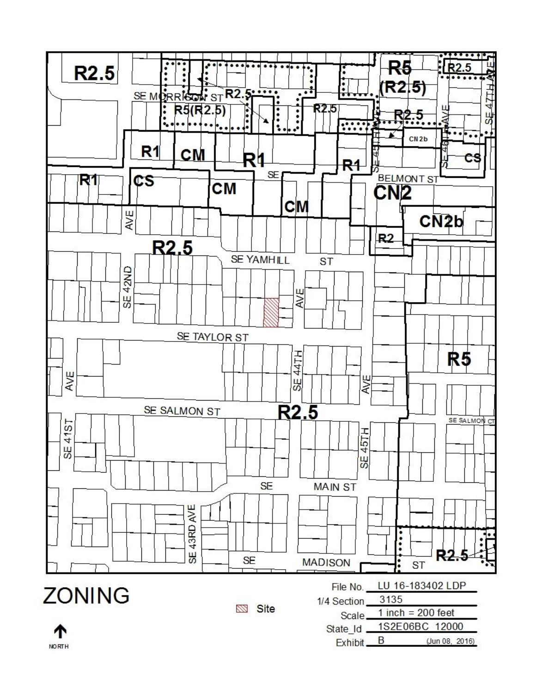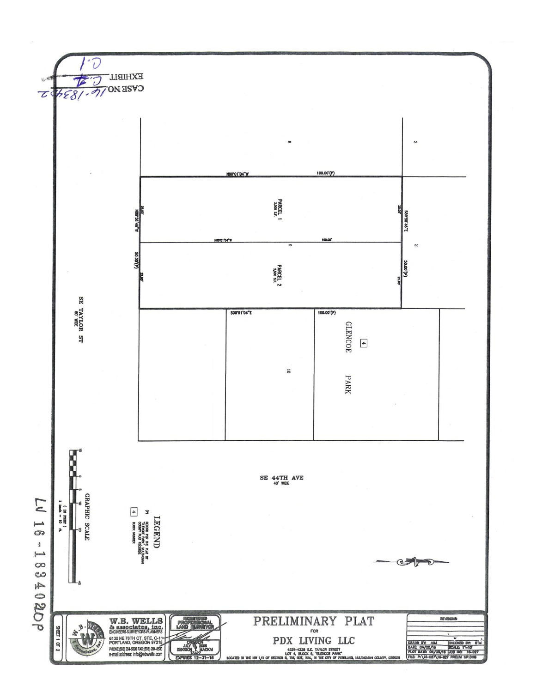